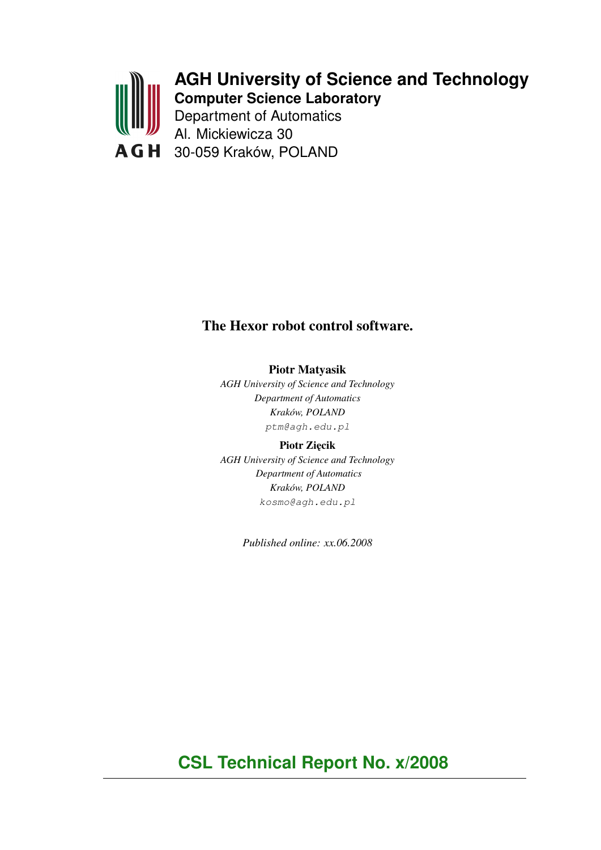

# **AGH University of Science and Technology Computer Science Laboratory**

Department of Automatics Al. Mickiewicza 30 30-059 Kraków, POLAND

# The Hexor robot control software.

Piotr Matyasik

*AGH University of Science and Technology Department of Automatics Kraków, POLAND* ptm@agh.edu.pl

Piotr Zięcik *AGH University of Science and Technology Department of Automatics Kraków, POLAND* kosmo@agh.edu.pl

*Published online: xx.06.2008*

**CSL Technical Report No. x/2008**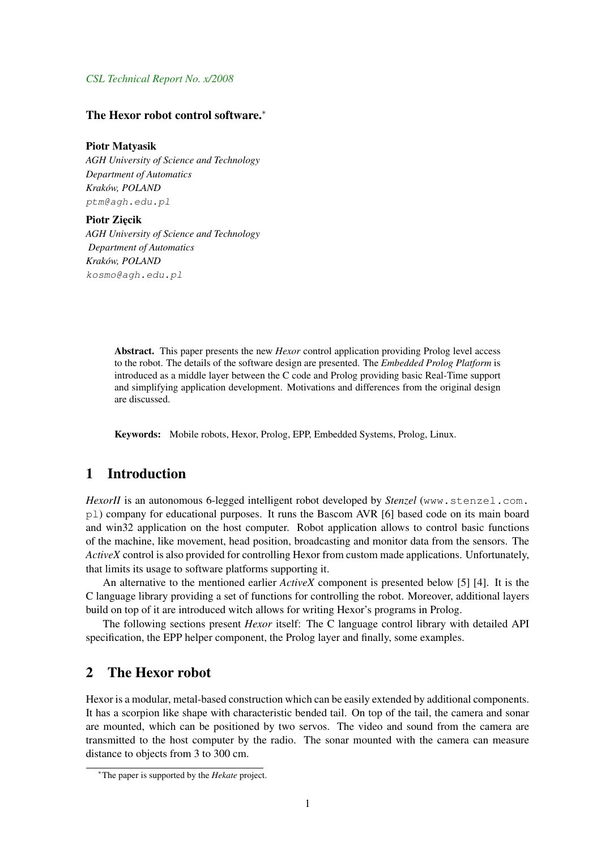#### *CSL Technical Report No. x/2008*

### The Hexor robot control software.<sup>∗</sup>

#### Piotr Matyasik

*AGH University of Science and Technology Department of Automatics Kraków, POLAND* ptm@agh.edu.pl

#### Piotr Ziecik

*AGH University of Science and Technology Department of Automatics Kraków, POLAND* kosmo@agh.edu.pl

> Abstract. This paper presents the new *Hexor* control application providing Prolog level access to the robot. The details of the software design are presented. The *Embedded Prolog Platform* is introduced as a middle layer between the C code and Prolog providing basic Real-Time support and simplifying application development. Motivations and differences from the original design are discussed.

Keywords: Mobile robots, Hexor, Prolog, EPP, Embedded Systems, Prolog, Linux.

## 1 Introduction

*HexorII* is an autonomous 6-legged intelligent robot developed by *Stenzel* (www.stenzel.com. pl) company for educational purposes. It runs the Bascom AVR [6] based code on its main board and win32 application on the host computer. Robot application allows to control basic functions of the machine, like movement, head position, broadcasting and monitor data from the sensors. The *ActiveX* control is also provided for controlling Hexor from custom made applications. Unfortunately, that limits its usage to software platforms supporting it.

An alternative to the mentioned earlier *ActiveX* component is presented below [5] [4]. It is the C language library providing a set of functions for controlling the robot. Moreover, additional layers build on top of it are introduced witch allows for writing Hexor's programs in Prolog.

The following sections present *Hexor* itself: The C language control library with detailed API specification, the EPP helper component, the Prolog layer and finally, some examples.

## 2 The Hexor robot

Hexor is a modular, metal-based construction which can be easily extended by additional components. It has a scorpion like shape with characteristic bended tail. On top of the tail, the camera and sonar are mounted, which can be positioned by two servos. The video and sound from the camera are transmitted to the host computer by the radio. The sonar mounted with the camera can measure distance to objects from 3 to 300 cm.

<sup>∗</sup>The paper is supported by the *Hekate* project.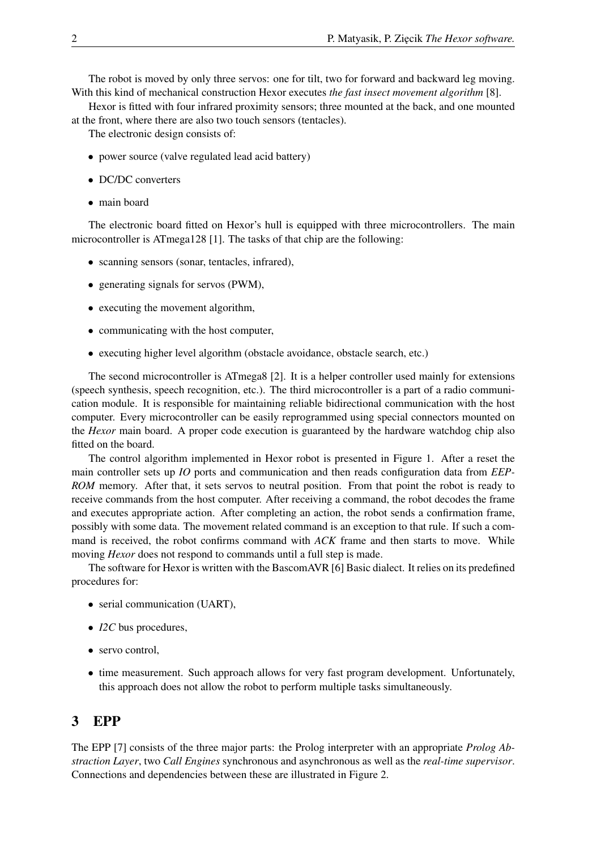The robot is moved by only three servos: one for tilt, two for forward and backward leg moving. With this kind of mechanical construction Hexor executes *the fast insect movement algorithm* [8].

Hexor is fitted with four infrared proximity sensors; three mounted at the back, and one mounted at the front, where there are also two touch sensors (tentacles).

The electronic design consists of:

- power source (valve regulated lead acid battery)
- DC/DC converters
- main board

The electronic board fitted on Hexor's hull is equipped with three microcontrollers. The main microcontroller is ATmega128 [1]. The tasks of that chip are the following:

- scanning sensors (sonar, tentacles, infrared),
- generating signals for servos (PWM),
- executing the movement algorithm,
- communicating with the host computer,
- executing higher level algorithm (obstacle avoidance, obstacle search, etc.)

The second microcontroller is ATmega8 [2]. It is a helper controller used mainly for extensions (speech synthesis, speech recognition, etc.). The third microcontroller is a part of a radio communication module. It is responsible for maintaining reliable bidirectional communication with the host computer. Every microcontroller can be easily reprogrammed using special connectors mounted on the *Hexor* main board. A proper code execution is guaranteed by the hardware watchdog chip also fitted on the board.

The control algorithm implemented in Hexor robot is presented in Figure 1. After a reset the main controller sets up *IO* ports and communication and then reads configuration data from *EEP-ROM* memory. After that, it sets servos to neutral position. From that point the robot is ready to receive commands from the host computer. After receiving a command, the robot decodes the frame and executes appropriate action. After completing an action, the robot sends a confirmation frame, possibly with some data. The movement related command is an exception to that rule. If such a command is received, the robot confirms command with *ACK* frame and then starts to move. While moving *Hexor* does not respond to commands until a full step is made.

The software for Hexor is written with the BascomAVR [6] Basic dialect. It relies on its predefined procedures for:

- serial communication (UART),
- *I2C* bus procedures,
- servo control,
- time measurement. Such approach allows for very fast program development. Unfortunately, this approach does not allow the robot to perform multiple tasks simultaneously.

## 3 EPP

The EPP [7] consists of the three major parts: the Prolog interpreter with an appropriate *Prolog Abstraction Layer*, two *Call Engines* synchronous and asynchronous as well as the *real-time supervisor*. Connections and dependencies between these are illustrated in Figure 2.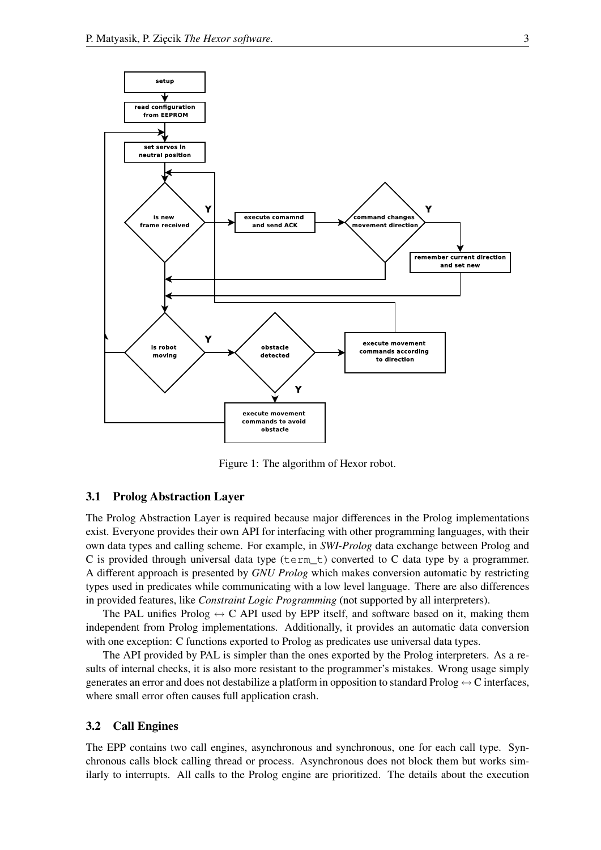

Figure 1: The algorithm of Hexor robot.

#### 3.1 Prolog Abstraction Layer

The Prolog Abstraction Layer is required because major differences in the Prolog implementations exist. Everyone provides their own API for interfacing with other programming languages, with their own data types and calling scheme. For example, in *SWI-Prolog* data exchange between Prolog and C is provided through universal data type ( $\tan \tau$ ) converted to C data type by a programmer. A different approach is presented by *GNU Prolog* which makes conversion automatic by restricting types used in predicates while communicating with a low level language. There are also differences in provided features, like *Constraint Logic Programming* (not supported by all interpreters).

The PAL unifies Prolog  $\leftrightarrow$  C API used by EPP itself, and software based on it, making them independent from Prolog implementations. Additionally, it provides an automatic data conversion with one exception: C functions exported to Prolog as predicates use universal data types.

The API provided by PAL is simpler than the ones exported by the Prolog interpreters. As a results of internal checks, it is also more resistant to the programmer's mistakes. Wrong usage simply generates an error and does not destabilize a platform in opposition to standard Prolog  $\leftrightarrow$  C interfaces, where small error often causes full application crash.

## 3.2 Call Engines

The EPP contains two call engines, asynchronous and synchronous, one for each call type. Synchronous calls block calling thread or process. Asynchronous does not block them but works similarly to interrupts. All calls to the Prolog engine are prioritized. The details about the execution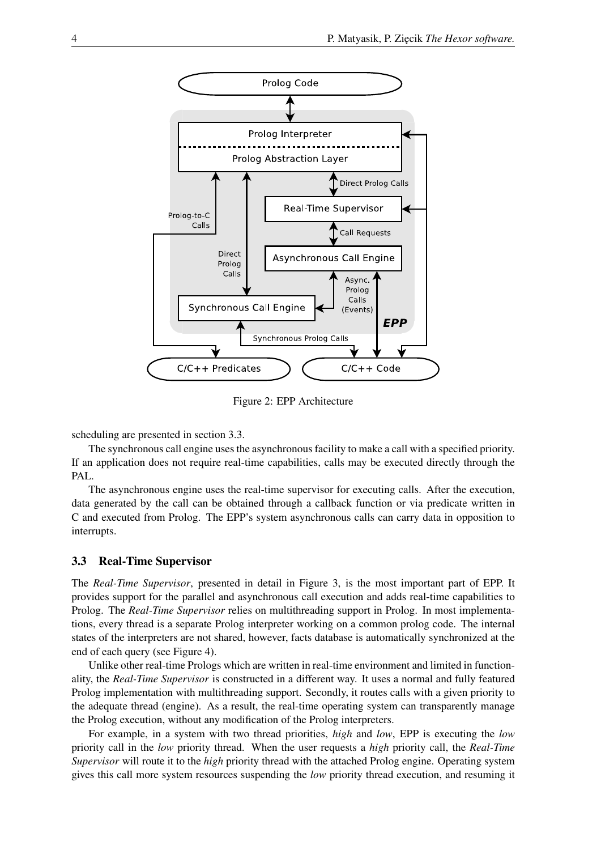

Figure 2: EPP Architecture

scheduling are presented in section 3.3.

The synchronous call engine uses the asynchronous facility to make a call with a specified priority. If an application does not require real-time capabilities, calls may be executed directly through the PAL.

The asynchronous engine uses the real-time supervisor for executing calls. After the execution, data generated by the call can be obtained through a callback function or via predicate written in C and executed from Prolog. The EPP's system asynchronous calls can carry data in opposition to interrupts.

## 3.3 Real-Time Supervisor

The *Real-Time Supervisor*, presented in detail in Figure 3, is the most important part of EPP. It provides support for the parallel and asynchronous call execution and adds real-time capabilities to Prolog. The *Real-Time Supervisor* relies on multithreading support in Prolog. In most implementations, every thread is a separate Prolog interpreter working on a common prolog code. The internal states of the interpreters are not shared, however, facts database is automatically synchronized at the end of each query (see Figure 4).

Unlike other real-time Prologs which are written in real-time environment and limited in functionality, the *Real-Time Supervisor* is constructed in a different way. It uses a normal and fully featured Prolog implementation with multithreading support. Secondly, it routes calls with a given priority to the adequate thread (engine). As a result, the real-time operating system can transparently manage the Prolog execution, without any modification of the Prolog interpreters.

For example, in a system with two thread priorities, *high* and *low*, EPP is executing the *low* priority call in the *low* priority thread. When the user requests a *high* priority call, the *Real-Time Supervisor* will route it to the *high* priority thread with the attached Prolog engine. Operating system gives this call more system resources suspending the *low* priority thread execution, and resuming it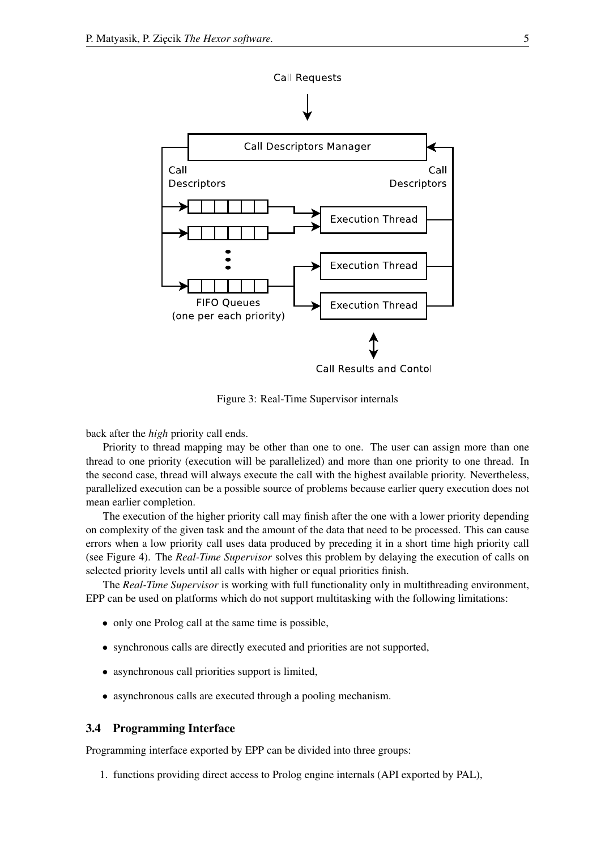

Figure 3: Real-Time Supervisor internals

back after the *high* priority call ends.

Priority to thread mapping may be other than one to one. The user can assign more than one thread to one priority (execution will be parallelized) and more than one priority to one thread. In the second case, thread will always execute the call with the highest available priority. Nevertheless, parallelized execution can be a possible source of problems because earlier query execution does not mean earlier completion.

The execution of the higher priority call may finish after the one with a lower priority depending on complexity of the given task and the amount of the data that need to be processed. This can cause errors when a low priority call uses data produced by preceding it in a short time high priority call (see Figure 4). The *Real-Time Supervisor* solves this problem by delaying the execution of calls on selected priority levels until all calls with higher or equal priorities finish.

The *Real-Time Supervisor* is working with full functionality only in multithreading environment, EPP can be used on platforms which do not support multitasking with the following limitations:

- only one Prolog call at the same time is possible,
- synchronous calls are directly executed and priorities are not supported,
- asynchronous call priorities support is limited,
- asynchronous calls are executed through a pooling mechanism.

### 3.4 Programming Interface

Programming interface exported by EPP can be divided into three groups:

1. functions providing direct access to Prolog engine internals (API exported by PAL),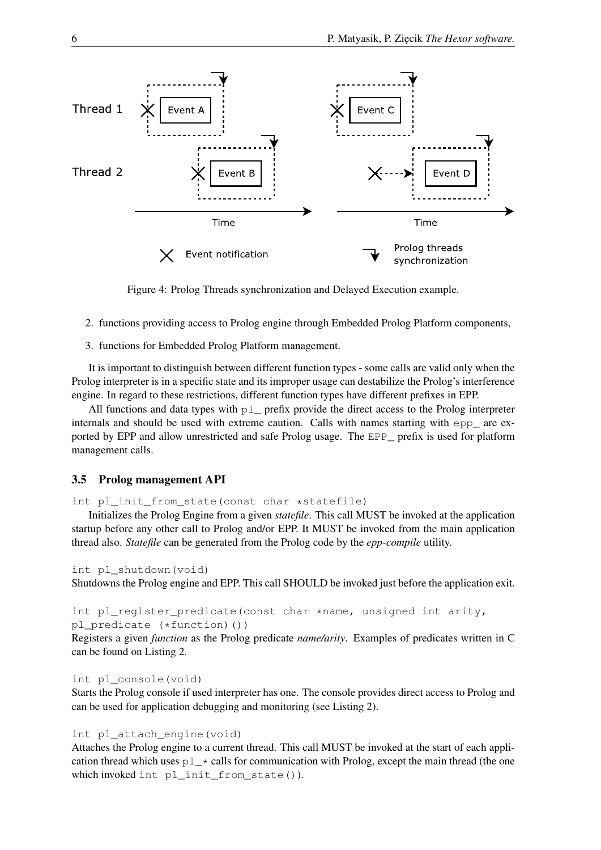

Figure 4: Prolog Threads synchronization and Delayed Execution example.

- 2. functions providing access to Prolog engine through Embedded Prolog Platform components,
- 3. functions for Embedded Prolog Platform management.

It is important to distinguish between different function types - some calls are valid only when the Prolog interpreter is in a specific state and its improper usage can destabilize the Prolog's interference engine. In regard to these restrictions, different function types have different prefixes in EPP.

All functions and data types with  $p \perp$  prefix provide the direct access to the Prolog interpreter internals and should be used with extreme caution. Calls with names starting with epp\_ are exported by EPP and allow unrestricted and safe Prolog usage. The EPP\_ prefix is used for platform management calls.

## 3.5 Prolog management API

int pl\_init\_from\_state(const char \*statefile)

Initializes the Prolog Engine from a given *statefile*. This call MUST be invoked at the application startup before any other call to Prolog and/or EPP. It MUST be invoked from the main application thread also. *Statefile* can be generated from the Prolog code by the *epp-compile* utility.

```
int pl_shutdown(void)
```
Shutdowns the Prolog engine and EPP. This call SHOULD be invoked just before the application exit.

```
int pl_register_predicate(const char *name, unsigned int arity,
pl_predicate (*function)())
```
Registers a given *function* as the Prolog predicate *name/arity*. Examples of predicates written in C can be found on Listing 2.

int pl\_console(void)

Starts the Prolog console if used interpreter has one. The console provides direct access to Prolog and can be used for application debugging and monitoring (see Listing 2).

### int pl\_attach\_engine(void)

Attaches the Prolog engine to a current thread. This call MUST be invoked at the start of each application thread which uses  $p \perp *$  calls for communication with Prolog, except the main thread (the one which invoked int pl\_init\_from\_state()).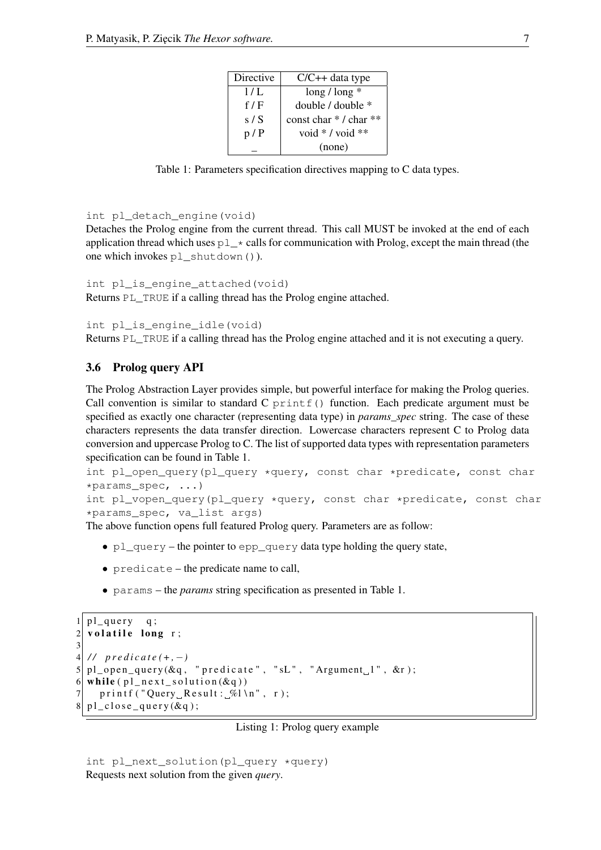| $C/C++$ data type     |
|-----------------------|
| $\log$ / $\log$ *     |
| double / double *     |
| const char */ char ** |
| void $*$ / void $**$  |
| (none)                |
|                       |

Table 1: Parameters specification directives mapping to C data types.

```
int pl_detach_engine(void)
```
Detaches the Prolog engine from the current thread. This call MUST be invoked at the end of each application thread which uses  $p \perp *$  calls for communication with Prolog, except the main thread (the one which invokes pl\_shutdown()).

```
int pl_is_engine_attached(void)
```
Returns PL TRUE if a calling thread has the Prolog engine attached.

```
int pl_is_engine_idle(void)
```
Returns PL TRUE if a calling thread has the Prolog engine attached and it is not executing a query.

### 3.6 Prolog query API

The Prolog Abstraction Layer provides simple, but powerful interface for making the Prolog queries. Call convention is similar to standard C  $print f()$  function. Each predicate argument must be specified as exactly one character (representing data type) in *params\_spec* string. The case of these characters represents the data transfer direction. Lowercase characters represent C to Prolog data conversion and uppercase Prolog to C. The list of supported data types with representation parameters specification can be found in Table 1.

```
int pl_open_query(pl_query *query, const char *predicate, const char
*params_spec, ...)
```
int pl\_vopen\_query(pl\_query \*query, const char \*predicate, const char \*params\_spec, va\_list args)

The above function opens full featured Prolog query. Parameters are as follow:

- $p\perp$  query the pointer to epp\_query data type holding the query state,
- predicate the predicate name to call,
- params the *params* string specification as presented in Table 1.

```
1| pl_query q;
2 volatile long r;
3
4 / / p r e d i c a t e (+ , −)
5 \vert \text{pl\_open\_query}(\&q, \text{ "predicate", "sL", "Argument, 1", &r);}6 while ( pl\_next\_solution(kq))7 printf ("Query Result: \%l \n\cdot n", r);
8| pl_close_query(&q);
```
#### Listing 1: Prolog query example

```
int pl_next_solution(pl_query *query)
Requests next solution from the given query.
```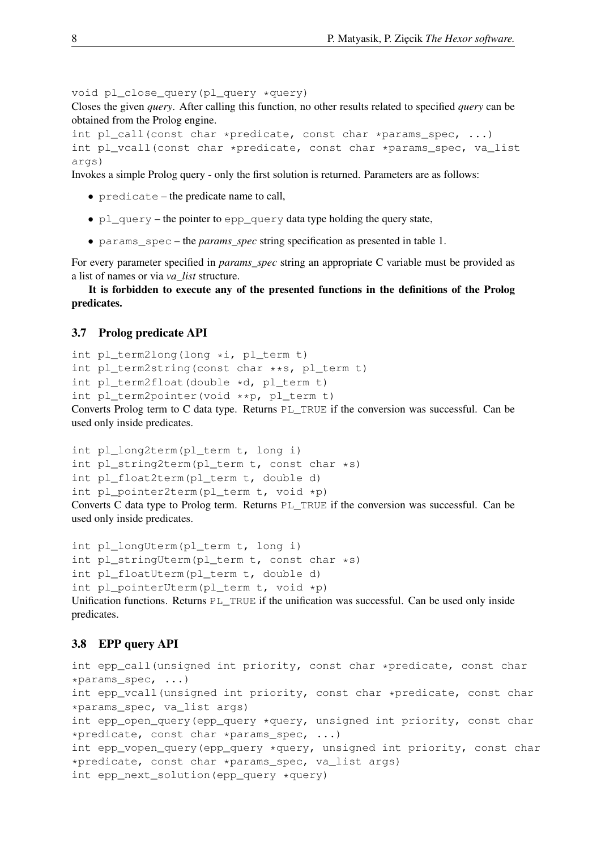void pl\_close\_query(pl\_query \*query)

Closes the given *query*. After calling this function, no other results related to specified *query* can be obtained from the Prolog engine.

```
int pl_call(const char *predicate, const char *params_spec, ...)
int pl_vcall(const char *predicate, const char *params_spec, va_list
args)
```
Invokes a simple Prolog query - only the first solution is returned. Parameters are as follows:

- predicate the predicate name to call,
- pl\_query the pointer to epp\_query data type holding the query state,
- params\_spec the *params\_spec* string specification as presented in table 1.

For every parameter specified in *params\_spec* string an appropriate C variable must be provided as a list of names or via *va\_list* structure.

It is forbidden to execute any of the presented functions in the definitions of the Prolog predicates.

## 3.7 Prolog predicate API

```
int pl_term2long(long *i, pl_term t)
int pl_term2string(const char **s, pl_term t)
int pl_term2float(double *d, pl_term t)
int pl_term2pointer(void **p, pl_term t)
Converts Prolog term to C data type. Returns PL_TRUE if the conversion was successful. Can be
used only inside predicates.
```

```
int pl_long2term(pl_term t, long i)
int pl_string2term(pl_term t, const char *s)
int pl_float2term(pl_term t, double d)
int pl_pointer2term(pl_term t, void *p)
Converts C data type to Prolog term. Returns PL_TRUE if the conversion was successful. Can be
used only inside predicates.
```

```
int pl_longUterm(pl_term t, long i)
int pl_stringUterm(pl_term t, const char *s)
int pl_floatUterm(pl_term t, double d)
int pl_pointerUterm(pl_term t, void *p)
Unification functions. Returns PL_TRUE if the unification was successful. Can be used only inside
predicates.
```
## 3.8 EPP query API

```
int epp_call(unsigned int priority, const char *predicate, const char
*params_spec, ...)
int epp_vcall(unsigned int priority, const char *predicate, const char
*params_spec, va_list args)
int epp_open_query(epp_query *query, unsigned int priority, const char
*predicate, const char *params_spec, ...)
int epp_vopen_query(epp_query *query, unsigned int priority, const char
*predicate, const char *params_spec, va_list args)
int epp_next_solution(epp_query *query)
```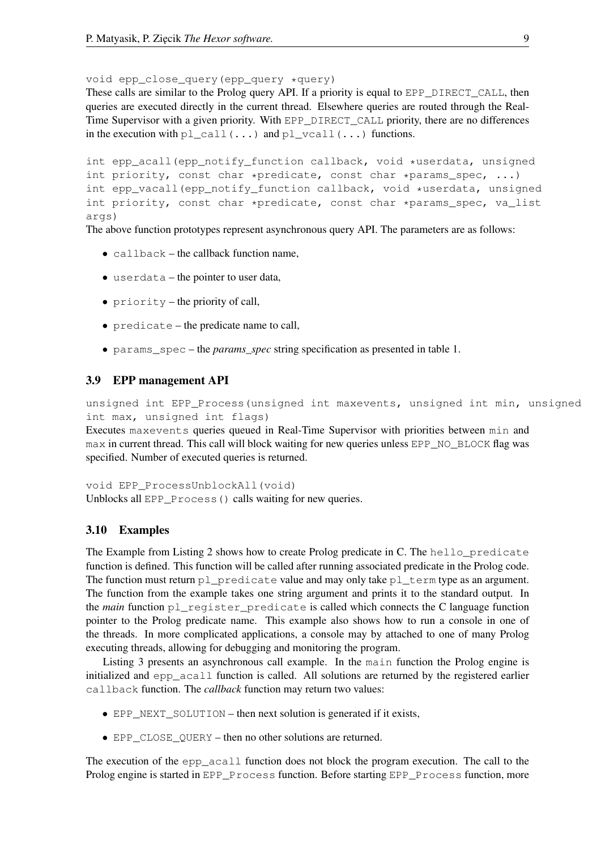void epp\_close\_query(epp\_query \*query)

These calls are similar to the Prolog query API. If a priority is equal to EPP\_DIRECT\_CALL, then queries are executed directly in the current thread. Elsewhere queries are routed through the Real-Time Supervisor with a given priority. With EPP\_DIRECT\_CALL priority, there are no differences in the execution with pl\_call( $\dots$ ) and pl\_vcall( $\dots$ ) functions.

```
int epp_acall(epp_notify_function callback, void *userdata, unsigned
int priority, const char *predicate, const char *params_spec, \ldots)
int epp_vacall(epp_notify_function callback, void *userdata, unsigned
int priority, const char *predicate, const char *params_spec, va_list
args)
```
The above function prototypes represent asynchronous query API. The parameters are as follows:

- callback the callback function name,
- userdata the pointer to user data,
- priority the priority of call,
- predicate the predicate name to call,
- params\_spec the *params\_spec* string specification as presented in table 1.

## 3.9 EPP management API

unsigned int EPP\_Process(unsigned int maxevents, unsigned int min, unsigned int max, unsigned int flags)

Executes maxevents queries queued in Real-Time Supervisor with priorities between min and max in current thread. This call will block waiting for new queries unless EPP\_NO\_BLOCK flag was specified. Number of executed queries is returned.

void EPP\_ProcessUnblockAll(void) Unblocks all EPP Process() calls waiting for new queries.

## 3.10 Examples

The Example from Listing 2 shows how to create Prolog predicate in C. The hello predicate function is defined. This function will be called after running associated predicate in the Prolog code. The function must return pl\_predicate value and may only take  $p \perp$  term type as an argument. The function from the example takes one string argument and prints it to the standard output. In the *main* function pl\_register\_predicate is called which connects the C language function pointer to the Prolog predicate name. This example also shows how to run a console in one of the threads. In more complicated applications, a console may by attached to one of many Prolog executing threads, allowing for debugging and monitoring the program.

Listing 3 presents an asynchronous call example. In the main function the Prolog engine is initialized and epp\_acall function is called. All solutions are returned by the registered earlier callback function. The *callback* function may return two values:

- EPP\_NEXT\_SOLUTION then next solution is generated if it exists,
- EPP\_CLOSE\_QUERY then no other solutions are returned.

The execution of the epp\_acall function does not block the program execution. The call to the Prolog engine is started in EPP\_Process function. Before starting EPP\_Process function, more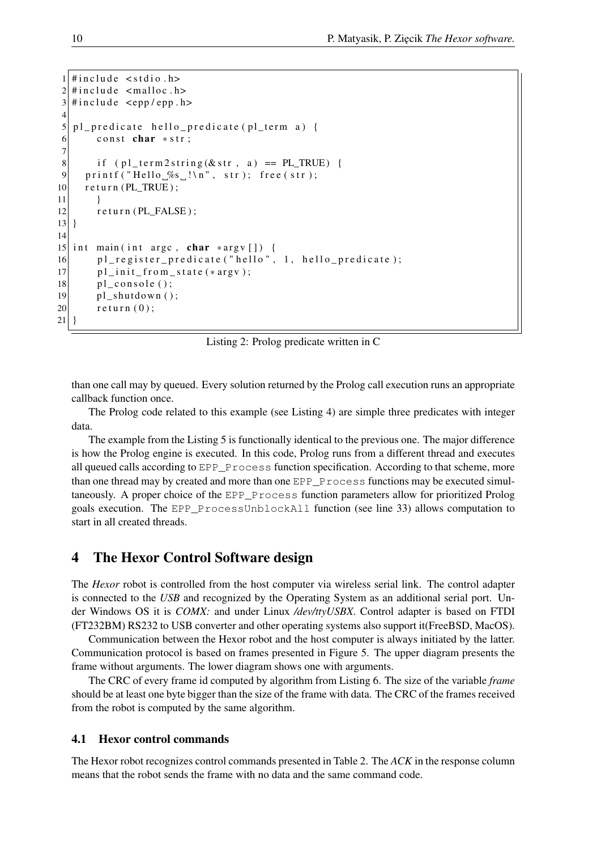```
#include \leq stdio .h>
2 \mid \text{Hinclude} clude <malloc.h>
3 \mid \text{H} include \text{cepp}/epp.h>
4
5| pl_predicate hello_predicate (pl_term a) {
6 const char *str;
7
8 if ( p l_term 2 string (\& str, a ) = PL_TRUE ) {
9 printf ("Hello\mathcal{S}_\text{S} !\n", str); free (str);
10 return (PL_TRUE);
11 }
12 return (PL_FALSE);
13 }
14
15 int main (int argc, char *argv []) {
16 pl_register_predicate ("hello", 1, hello_predicate);
17 pl_init_from_state (*argy);
18 pl_console();
19 pl_shutdown();
20 return (0);
21 }
```
Listing 2: Prolog predicate written in C

than one call may by queued. Every solution returned by the Prolog call execution runs an appropriate callback function once.

The Prolog code related to this example (see Listing 4) are simple three predicates with integer data.

The example from the Listing 5 is functionally identical to the previous one. The major difference is how the Prolog engine is executed. In this code, Prolog runs from a different thread and executes all queued calls according to EPP\_Process function specification. According to that scheme, more than one thread may by created and more than one EPP\_Process functions may be executed simultaneously. A proper choice of the EPP\_Process function parameters allow for prioritized Prolog goals execution. The EPP\_ProcessUnblockAll function (see line 33) allows computation to start in all created threads.

## 4 The Hexor Control Software design

The *Hexor* robot is controlled from the host computer via wireless serial link. The control adapter is connected to the *USB* and recognized by the Operating System as an additional serial port. Under Windows OS it is *COMX:* and under Linux */dev/ttyUSBX*. Control adapter is based on FTDI (FT232BM) RS232 to USB converter and other operating systems also support it(FreeBSD, MacOS).

Communication between the Hexor robot and the host computer is always initiated by the latter. Communication protocol is based on frames presented in Figure 5. The upper diagram presents the frame without arguments. The lower diagram shows one with arguments.

The CRC of every frame id computed by algorithm from Listing 6. The size of the variable *frame* should be at least one byte bigger than the size of the frame with data. The CRC of the frames received from the robot is computed by the same algorithm.

#### 4.1 Hexor control commands

The Hexor robot recognizes control commands presented in Table 2. The *ACK* in the response column means that the robot sends the frame with no data and the same command code.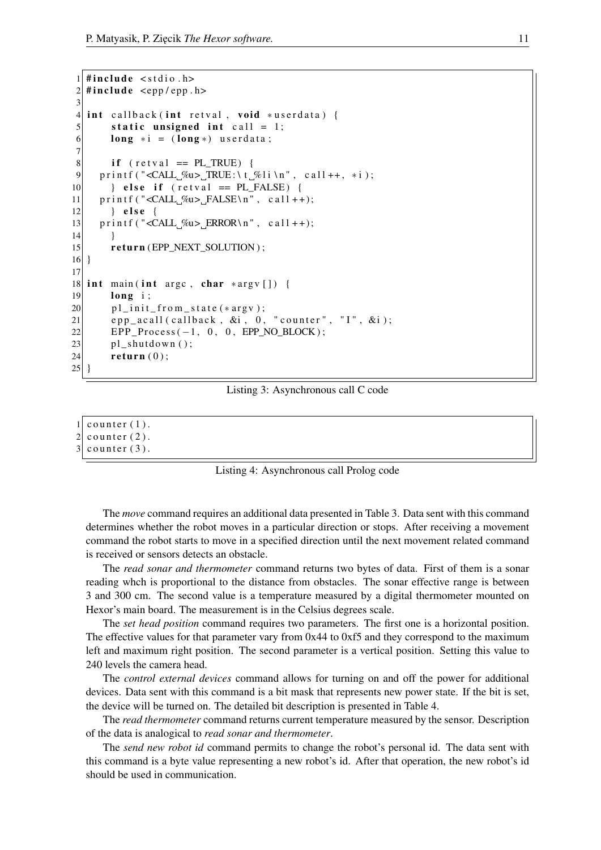```
1 \mid \text{Hinclude} \leq stdio .h>
2 \mid \text{Hinclude} \leq epp/epp.h>
3
4 int callback (int retval, void *userdata) {
5 static unsigned int call = 1;
6 long * i = (long*) userdata;
7
8 if (retval == PL_TRUE) {
9 printf ("<CALL_%u>_TRUE:\t_%li\n", call++, *i);
10 } else if (retval == PL_FALSE) {
11 printf ("<CALL \%u> FALSE\n", call ++);
|12| } else {
13 printf ("<CALL \%u> ERROR\n", c all ++);
14 }
15 return (EPP_NEXT_SOLUTION);
16}
17
18 int main (int argc, char *argv[]) {
19 long i;
20 pl_init_from_state (*argv);
21 epp_acall(callback, \&i, 0, "counter", "I", \&i);
22 EPP_Process (-1, 0, 0, EPP_NO_BLOCK);
23 pl_shutdown();
24 return (0);
25 }
```
Listing 3: Asynchronous call C code

```
1 counter (1).
```

```
2 counter (2).
```

```
3 counter (3).
```


The *move* command requires an additional data presented in Table 3. Data sent with this command determines whether the robot moves in a particular direction or stops. After receiving a movement command the robot starts to move in a specified direction until the next movement related command is received or sensors detects an obstacle.

The *read sonar and thermometer* command returns two bytes of data. First of them is a sonar reading whch is proportional to the distance from obstacles. The sonar effective range is between 3 and 300 cm. The second value is a temperature measured by a digital thermometer mounted on Hexor's main board. The measurement is in the Celsius degrees scale.

The *set head position* command requires two parameters. The first one is a horizontal position. The effective values for that parameter vary from 0x44 to 0xf5 and they correspond to the maximum left and maximum right position. The second parameter is a vertical position. Setting this value to 240 levels the camera head.

The *control external devices* command allows for turning on and off the power for additional devices. Data sent with this command is a bit mask that represents new power state. If the bit is set, the device will be turned on. The detailed bit description is presented in Table 4.

The *read thermometer* command returns current temperature measured by the sensor. Description of the data is analogical to *read sonar and thermometer*.

The *send new robot id* command permits to change the robot's personal id. The data sent with this command is a byte value representing a new robot's id. After that operation, the new robot's id should be used in communication.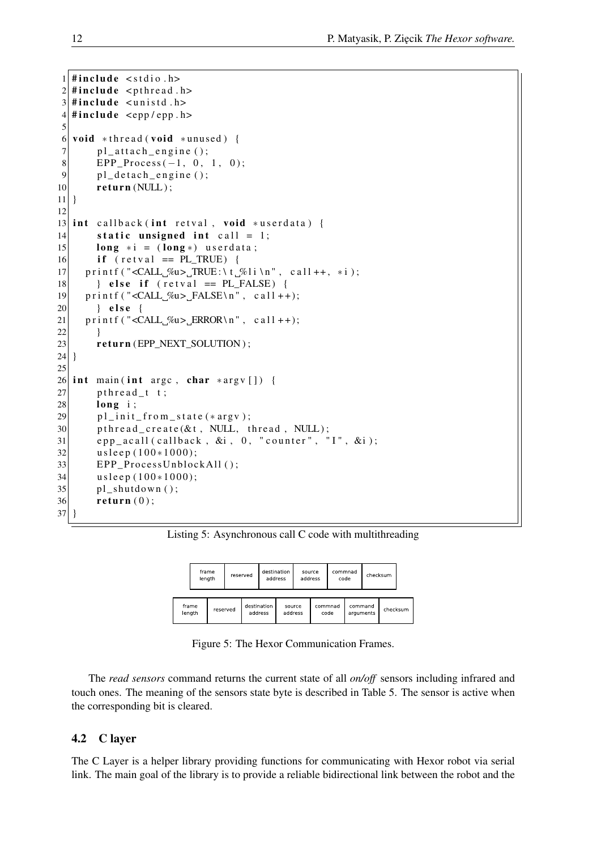```
1 \mid \text{Hinclude} \leq stdio .h>
2 \mid \text{Hinclude} \leq pthread .h>
3 \mid \text{Hinclude} \leq unistd . h>
4 \nparallel #include <epp/epp.h>
5
6 void *thread (void *unused) {
7 pl_attach_engine ();
8 EPP_Process (-1, 0, 1, 0);
9 pl_detach_engine();
10 return (NULL);
11}
12
13 int callback (int retval, void *userdata) {
14 static unsigned int call = 1;
15 long * i = (long *) userdata;
16 if (retval == PL_TRUE) {
17 printf ("<CALL \text{\%u}) TRUE : \t \text{\%li} \n", call ++, *i);
18 } else if (retval == PL_FALSE) {
19 printf ("<CALL %u> FALSE\n", call ++);
20 } else {
21 printf ("<CALL %u> ERROR\n", call ++);
22 }
23 return (EPP_NEXT_SOLUTION);
24 }
25
26 int main (int argc, char *argv []) {
27 p thread _t t;
28 long i;
29 pl_init_from_state (*argv);
30 p th r e a d _ c r e a t e (& t, NULL, th r e a d, NULL);
31 epp_acall(callback, &i, 0, "counter", "I", &i);
32 usleep (100*1000);
33 EPP_ProcessUnblockAll();
34 u s le ep (100*1000);35 pl shutdown ();
36 return (0);37 }
```
Listing 5: Asynchronous call C code with multithreading

|                 | frame<br>length | reserved               | destination<br>address |         | source<br>address |                 | commnad | code                 | checksum |          |  |
|-----------------|-----------------|------------------------|------------------------|---------|-------------------|-----------------|---------|----------------------|----------|----------|--|
| frame<br>length | reserved        | destination<br>address |                        | address | source            | commnad<br>code |         | command<br>arguments |          | checksum |  |

Figure 5: The Hexor Communication Frames.

The *read sensors* command returns the current state of all *on/off* sensors including infrared and touch ones. The meaning of the sensors state byte is described in Table 5. The sensor is active when the corresponding bit is cleared.

## 4.2 C layer

The C Layer is a helper library providing functions for communicating with Hexor robot via serial link. The main goal of the library is to provide a reliable bidirectional link between the robot and the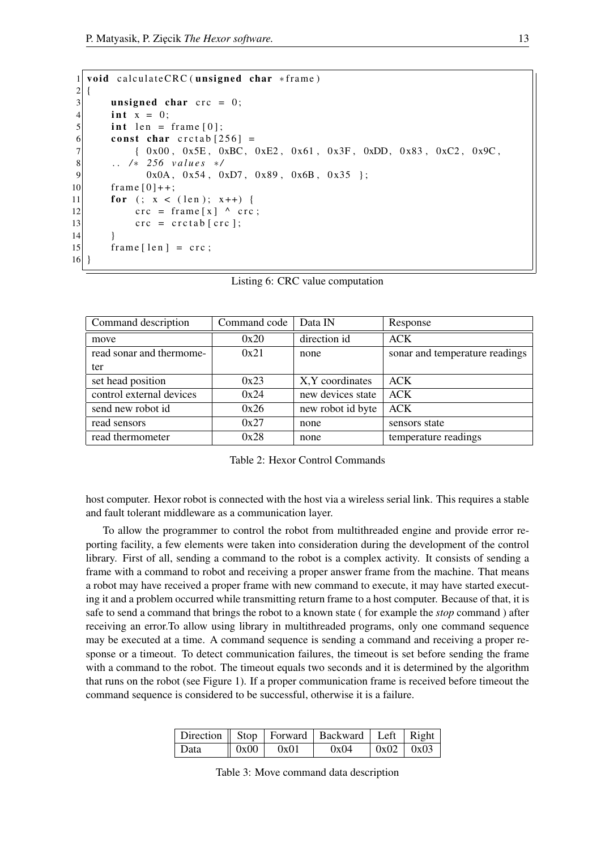```
1 void calculateCRC (unsigned char * frame)
2 {
3 unsigned char \text{crc} = 0;
4 int x = 0;
5 int len = frame [0];
6 const char cretab [256] =
7 { 0 x 00 , 0 x 5 E , 0 x B C , 0 x E 2 , 0 x 61 , 0 x 3 F , 0 x D D , 0 x 8 3 , 0 x C 2 , 0 x 9 C ,
8 . . / ∗ 256 v a l u e s ∗ /
9 0x0A, 0x54, 0xD7, 0x89, 0x6B, 0x35 };
10 frame [0]++;11 for (; x < (len); x++) {
|12| crc = frame [x] ^ crc;
13 crc = crctab [crc];
14 }
|15| frame [len] = crc;
16}
```

|  |  | Listing 6: CRC value computation |
|--|--|----------------------------------|
|--|--|----------------------------------|

| Command description      | Command code | Data IN           | Response                       |
|--------------------------|--------------|-------------------|--------------------------------|
| move                     | 0x20         | direction id      | <b>ACK</b>                     |
| read sonar and thermome- | 0x21         | none              | sonar and temperature readings |
| ter                      |              |                   |                                |
| set head position        | 0x23         | X, Y coordinates  | <b>ACK</b>                     |
| control external devices | 0x24         | new devices state | ACK                            |
| send new robot id        | 0x26         | new robot id byte | <b>ACK</b>                     |
| read sensors             | 0x27         | none              | sensors state                  |
| read thermometer         | 0x28         | none              | temperature readings           |

Table 2: Hexor Control Commands

host computer. Hexor robot is connected with the host via a wireless serial link. This requires a stable and fault tolerant middleware as a communication layer.

To allow the programmer to control the robot from multithreaded engine and provide error reporting facility, a few elements were taken into consideration during the development of the control library. First of all, sending a command to the robot is a complex activity. It consists of sending a frame with a command to robot and receiving a proper answer frame from the machine. That means a robot may have received a proper frame with new command to execute, it may have started executing it and a problem occurred while transmitting return frame to a host computer. Because of that, it is safe to send a command that brings the robot to a known state ( for example the *stop* command ) after receiving an error.To allow using library in multithreaded programs, only one command sequence may be executed at a time. A command sequence is sending a command and receiving a proper response or a timeout. To detect communication failures, the timeout is set before sending the frame with a command to the robot. The timeout equals two seconds and it is determined by the algorithm that runs on the robot (see Figure 1). If a proper communication frame is received before timeout the command sequence is considered to be successful, otherwise it is a failure.

|      |                                   | Direction    Stop   Forward   Backward   Left   Right |                               |  |
|------|-----------------------------------|-------------------------------------------------------|-------------------------------|--|
| Data | $\parallel$ 0x00 $\parallel$ 0x01 | 0x04                                                  | $\vert 0x02 \vert 0x03 \vert$ |  |

Table 3: Move command data description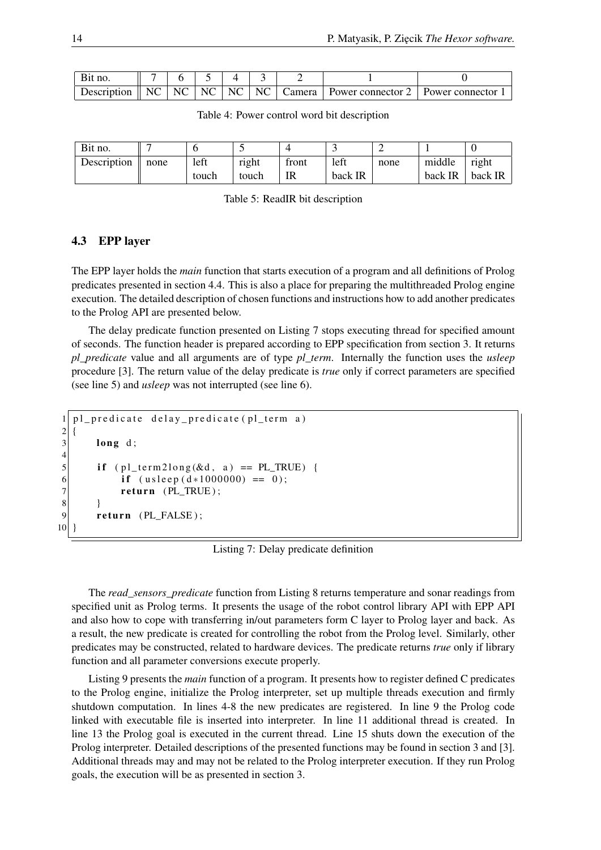| Bit no. |  |  |  |                                                                                                                                                                       |  |
|---------|--|--|--|-----------------------------------------------------------------------------------------------------------------------------------------------------------------------|--|
|         |  |  |  | Description $\parallel$ NC $\parallel$ NC $\parallel$ NC $\parallel$ NC $\parallel$ NC $\parallel$ Camera $\parallel$ Power connector 2 $\parallel$ Power connector 1 |  |

| Table 4: Power control word bit description |  |  |
|---------------------------------------------|--|--|
|---------------------------------------------|--|--|

| Bit no.     |      |       |       |       | ັ       |      |         |         |
|-------------|------|-------|-------|-------|---------|------|---------|---------|
| Description | none | left  | right | tront | left    | none | middle  | right   |
|             |      | touch | touch | IR    | back IR |      | back IR | back IR |

| Table 5: ReadIR bit description |  |  |  |  |
|---------------------------------|--|--|--|--|
|---------------------------------|--|--|--|--|

## 4.3 EPP layer

The EPP layer holds the *main* function that starts execution of a program and all definitions of Prolog predicates presented in section 4.4. This is also a place for preparing the multithreaded Prolog engine execution. The detailed description of chosen functions and instructions how to add another predicates to the Prolog API are presented below.

The delay predicate function presented on Listing 7 stops executing thread for specified amount of seconds. The function header is prepared according to EPP specification from section 3. It returns *pl\_predicate* value and all arguments are of type *pl\_term*. Internally the function uses the *usleep* procedure [3]. The return value of the delay predicate is *true* only if correct parameters are specified (see line 5) and *usleep* was not interrupted (see line 6).

```
1| pl_predicate delay_predicate (pl_term a)
2 \mid \{3 long d;
4
5 if ( pl_{term}2long(&d, a ) = PL_TRUE ) {
6 if (u \text{s} le p (d * 1000000) == 0);<br>return (PL TRUE);
            return (PL_TRUE);
8 }
9 return (PL FALSE);
10 }
```
Listing 7: Delay predicate definition

The *read\_sensors\_predicate* function from Listing 8 returns temperature and sonar readings from specified unit as Prolog terms. It presents the usage of the robot control library API with EPP API and also how to cope with transferring in/out parameters form C layer to Prolog layer and back. As a result, the new predicate is created for controlling the robot from the Prolog level. Similarly, other predicates may be constructed, related to hardware devices. The predicate returns *true* only if library function and all parameter conversions execute properly.

Listing 9 presents the *main* function of a program. It presents how to register defined C predicates to the Prolog engine, initialize the Prolog interpreter, set up multiple threads execution and firmly shutdown computation. In lines 4-8 the new predicates are registered. In line 9 the Prolog code linked with executable file is inserted into interpreter. In line 11 additional thread is created. In line 13 the Prolog goal is executed in the current thread. Line 15 shuts down the execution of the Prolog interpreter. Detailed descriptions of the presented functions may be found in section 3 and [3]. Additional threads may and may not be related to the Prolog interpreter execution. If they run Prolog goals, the execution will be as presented in section 3.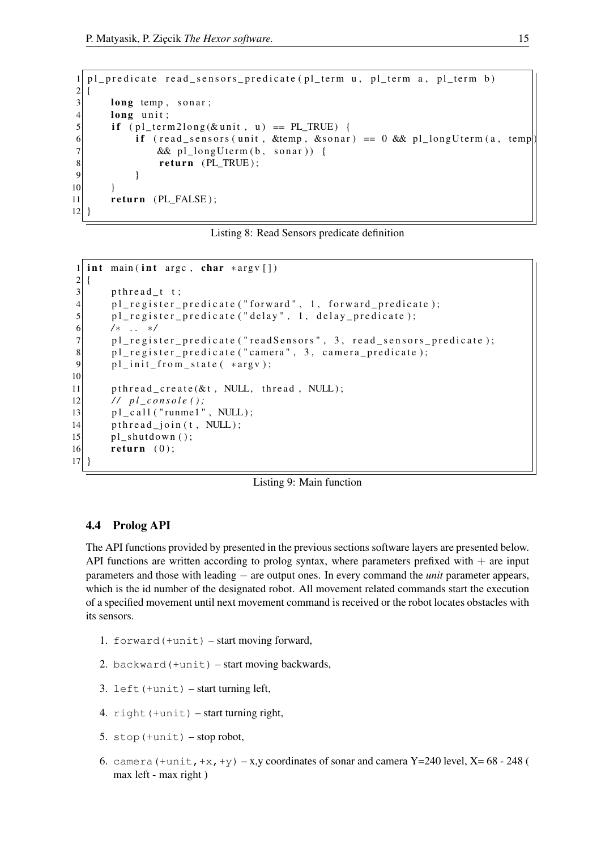```
1 pl _predicate read_sensors_predicate (pl_term u, pl_term a, pl_term b)
2 {
3 long temp, sonar;
4 long unit;
5 if ( pl_{term}2long(\& unit, u ) == PL_TRUE ) {
6 if (read sensors (unit, \&temp, \&sonar) == 0 \&\& pl long Uterm (a, temp)
7 & \& pl_longUterm (b, \text{ sonar}) {
8 return (PL_TRUE);
9 }
10 }
11 return (PL_FALSE);
12}
```
Listing 8: Read Sensors predicate definition

```
1 int main (int argc, char *argv [])
2 \mid \{3 pthread t t;
4 pl_register_predicate ("forward", 1, forward_predicate);
5 pl_register_predicate ("delay", 1, delay_predicate);
6 / ∗ . . ∗ /
7 pl_register_predicate ("readSensors", 3, read_sensors_predicate);
8 pl_register_predicate ("camera", 3, camera_predicate);
9 pl_init_from_state ( *argv);
10
11 pthread_create(\& t, NULL, thread, NULL);12 / / p l _ c o n s o l e ( ) ;
13 pl_c all ("runme1", NULL);
14 pthread_join (t, NULL);
15 pl shutdown ();
16 return (0);17 }
```


### 4.4 Prolog API

The API functions provided by presented in the previous sections software layers are presented below. API functions are written according to prolog syntax, where parameters prefixed with  $+$  are input parameters and those with leading − are output ones. In every command the *unit* parameter appears, which is the id number of the designated robot. All movement related commands start the execution of a specified movement until next movement command is received or the robot locates obstacles with its sensors.

- 1. forward(+unit) start moving forward,
- 2. backward(+unit) start moving backwards,
- 3. left(+unit) start turning left,
- 4. right(+unit) start turning right,
- 5. stop( $+$ unit) stop robot,
- 6. camera (+unit, +x, +y) x,y coordinates of sonar and camera Y=240 level, X=  $68 248$  ( max left - max right )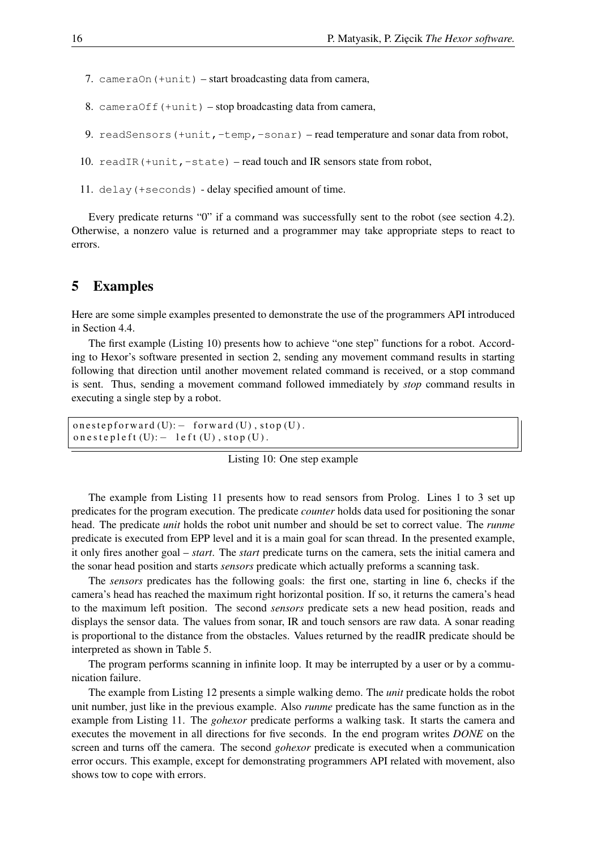- 7. cameraOn(+unit) start broadcasting data from camera,
- 8. cameraOff $(+unit)$  stop broadcasting data from camera,
- 9. readSensors(+unit,-temp,-sonar) read temperature and sonar data from robot,
- 10. readIR(+unit,-state) read touch and IR sensors state from robot,
- 11. delay(+seconds) delay specified amount of time.

Every predicate returns "0" if a command was successfully sent to the robot (see section 4.2). Otherwise, a nonzero value is returned and a programmer may take appropriate steps to react to errors.

## 5 Examples

Here are some simple examples presented to demonstrate the use of the programmers API introduced in Section 4.4.

The first example (Listing 10) presents how to achieve "one step" functions for a robot. According to Hexor's software presented in section 2, sending any movement command results in starting following that direction until another movement related command is received, or a stop command is sent. Thus, sending a movement command followed immediately by *stop* command results in executing a single step by a robot.

```
on e step forward (U): - forward (U), stop (U).
o n e s t e p l e f t (U): - l e f t (U), s t o p (U).
```
### Listing 10: One step example

The example from Listing 11 presents how to read sensors from Prolog. Lines 1 to 3 set up predicates for the program execution. The predicate *counter* holds data used for positioning the sonar head. The predicate *unit* holds the robot unit number and should be set to correct value. The *runme* predicate is executed from EPP level and it is a main goal for scan thread. In the presented example, it only fires another goal – *start*. The *start* predicate turns on the camera, sets the initial camera and the sonar head position and starts *sensors* predicate which actually preforms a scanning task.

The *sensors* predicates has the following goals: the first one, starting in line 6, checks if the camera's head has reached the maximum right horizontal position. If so, it returns the camera's head to the maximum left position. The second *sensors* predicate sets a new head position, reads and displays the sensor data. The values from sonar, IR and touch sensors are raw data. A sonar reading is proportional to the distance from the obstacles. Values returned by the readIR predicate should be interpreted as shown in Table 5.

The program performs scanning in infinite loop. It may be interrupted by a user or by a communication failure.

The example from Listing 12 presents a simple walking demo. The *unit* predicate holds the robot unit number, just like in the previous example. Also *runme* predicate has the same function as in the example from Listing 11. The *gohexor* predicate performs a walking task. It starts the camera and executes the movement in all directions for five seconds. In the end program writes *DONE* on the screen and turns off the camera. The second *gohexor* predicate is executed when a communication error occurs. This example, except for demonstrating programmers API related with movement, also shows tow to cope with errors.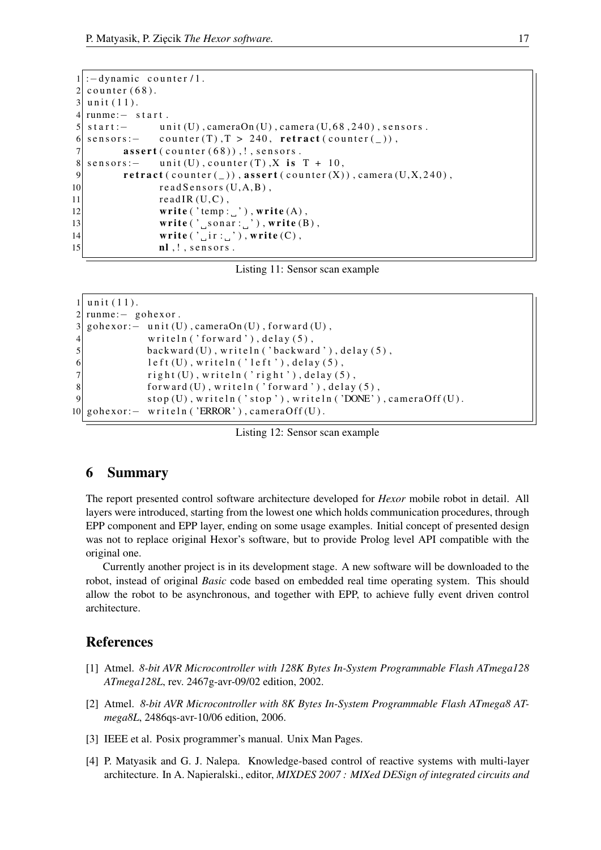```
1 : - dynamic counter / 1.
2 counter (68).
3 unit (11).
4 runme: - start.
5 \mid start := unit (U), cameraOn (U), camera (U, 68, 240), sensors.
6 \mid sensors: - counter (T), T > 240, retract (counter (\_)),
7 assert (counter (68)), !, sensors.
8| sensors: - unit (U), counter (T), X is T + 10,
9 retract (counter (\_)), assert (counter (X)), camera (U, X, 240),
10 read Sensors (U,A,B),
11 read IR (U,C),
12 write ('temp: ''), write (A),
13 write (' \text{Sonar}: \text{''}), write (B),
14 write ('\_ir : ''), write (C),
\vert 15 \vert nl, !, sensors.
```
Listing 11: Sensor scan example

```
1 unit (11).
2 runme: – gohexor.
3 gohexor: – unit (U), cameraOn (U), forward (U),
4 writeln ('forward'), delay (5),
5 backward (U), writeln ('backward'), delay (5),
6 left (U), writeln ('left'), delay (5),
7 right (U), writeln ('right'), delay (5),
\|8\| forward (U), writeln ('forward'), delay (5),
9 stop (U), writeln ('stop'), writeln ('DONE'), cameraOff (U).
10 gohexor: – writeln ('ERROR'), cameraOff(U).
```
Listing 12: Sensor scan example

## 6 Summary

The report presented control software architecture developed for *Hexor* mobile robot in detail. All layers were introduced, starting from the lowest one which holds communication procedures, through EPP component and EPP layer, ending on some usage examples. Initial concept of presented design was not to replace original Hexor's software, but to provide Prolog level API compatible with the original one.

Currently another project is in its development stage. A new software will be downloaded to the robot, instead of original *Basic* code based on embedded real time operating system. This should allow the robot to be asynchronous, and together with EPP, to achieve fully event driven control architecture.

## **References**

- [1] Atmel. *8-bit AVR Microcontroller with 128K Bytes In-System Programmable Flash ATmega128 ATmega128L*, rev. 2467g-avr-09/02 edition, 2002.
- [2] Atmel. *8-bit AVR Microcontroller with 8K Bytes In-System Programmable Flash ATmega8 ATmega8L*, 2486qs-avr-10/06 edition, 2006.
- [3] IEEE et al. Posix programmer's manual. Unix Man Pages.
- [4] P. Matyasik and G. J. Nalepa. Knowledge-based control of reactive systems with multi-layer architecture. In A. Napieralski., editor, *MIXDES 2007 : MIXed DESign of integrated circuits and*